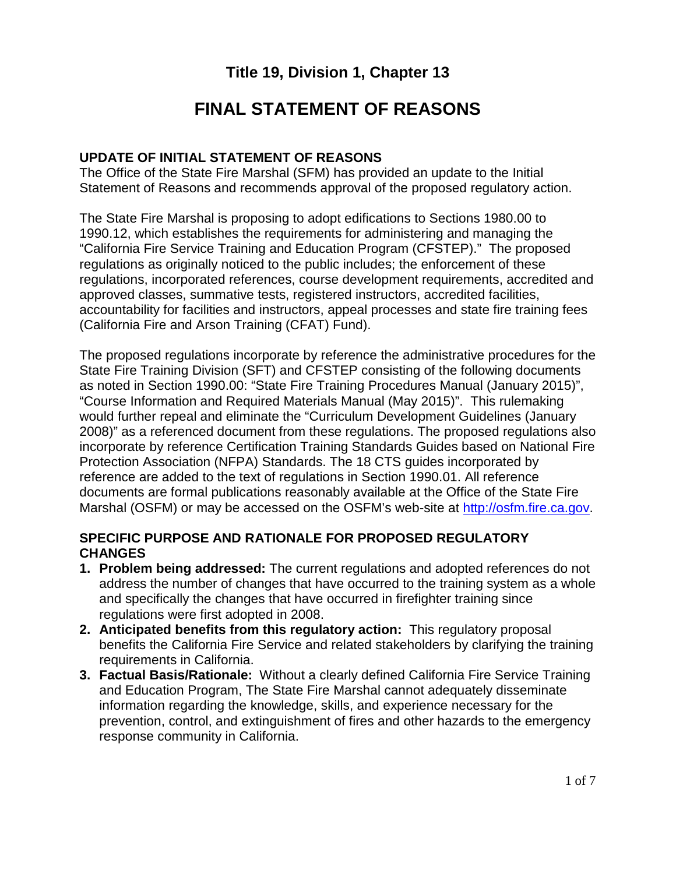# **Title 19, Division 1, Chapter 13**

# **FINAL STATEMENT OF REASONS**

#### **UPDATE OF INITIAL STATEMENT OF REASONS**

The Office of the State Fire Marshal (SFM) has provided an update to the Initial Statement of Reasons and recommends approval of the proposed regulatory action.

The State Fire Marshal is proposing to adopt edifications to Sections 1980.00 to 1990.12, which establishes the requirements for administering and managing the "California Fire Service Training and Education Program (CFSTEP)." The proposed regulations as originally noticed to the public includes; the enforcement of these regulations, incorporated references, course development requirements, accredited and approved classes, summative tests, registered instructors, accredited facilities, accountability for facilities and instructors, appeal processes and state fire training fees (California Fire and Arson Training (CFAT) Fund).

The proposed regulations incorporate by reference the administrative procedures for the State Fire Training Division (SFT) and CFSTEP consisting of the following documents as noted in Section 1990.00: "State Fire Training Procedures Manual (January 2015)", "Course Information and Required Materials Manual (May 2015)". This rulemaking would further repeal and eliminate the "Curriculum Development Guidelines (January 2008)" as a referenced document from these regulations. The proposed regulations also incorporate by reference Certification Training Standards Guides based on National Fire Protection Association (NFPA) Standards. The 18 CTS guides incorporated by reference are added to the text of regulations in Section 1990.01. All reference documents are formal publications reasonably available at the Office of the State Fire Marshal (OSFM) or may be accessed on the OSFM's web-site at [http://osfm.fire.ca.gov.](http://osfm.fire.ca.gov/)

#### **SPECIFIC PURPOSE AND RATIONALE FOR PROPOSED REGULATORY CHANGES**

- **1. Problem being addressed:** The current regulations and adopted references do not address the number of changes that have occurred to the training system as a whole and specifically the changes that have occurred in firefighter training since regulations were first adopted in 2008.
- **2. Anticipated benefits from this regulatory action:** This regulatory proposal benefits the California Fire Service and related stakeholders by clarifying the training requirements in California.
- **3. Factual Basis/Rationale:** Without a clearly defined California Fire Service Training and Education Program, The State Fire Marshal cannot adequately disseminate information regarding the knowledge, skills, and experience necessary for the prevention, control, and extinguishment of fires and other hazards to the emergency response community in California.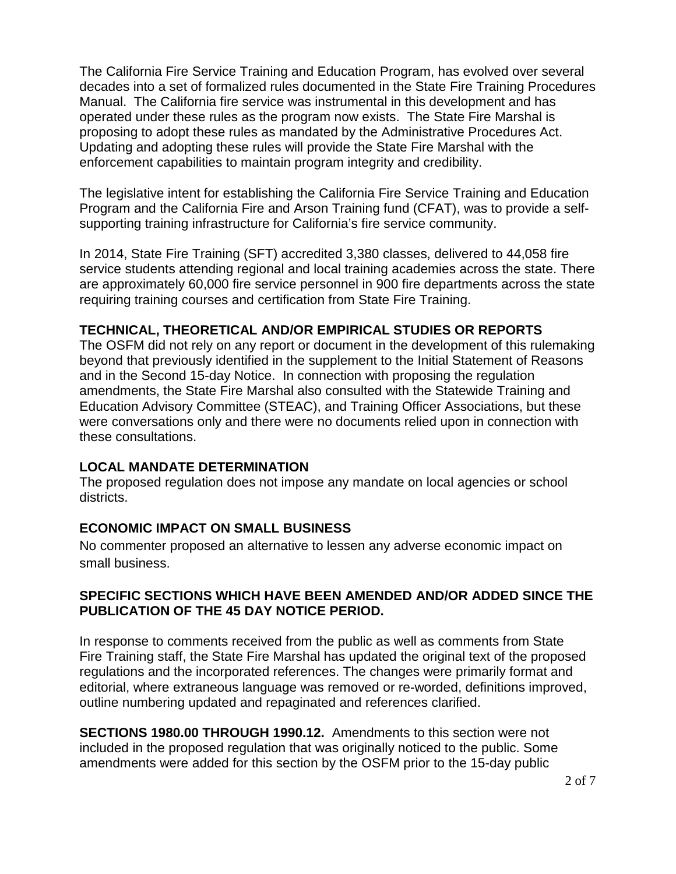The California Fire Service Training and Education Program, has evolved over several decades into a set of formalized rules documented in the State Fire Training Procedures Manual. The California fire service was instrumental in this development and has operated under these rules as the program now exists. The State Fire Marshal is proposing to adopt these rules as mandated by the Administrative Procedures Act. Updating and adopting these rules will provide the State Fire Marshal with the enforcement capabilities to maintain program integrity and credibility.

The legislative intent for establishing the California Fire Service Training and Education Program and the California Fire and Arson Training fund (CFAT), was to provide a selfsupporting training infrastructure for California's fire service community.

In 2014, State Fire Training (SFT) accredited 3,380 classes, delivered to 44,058 fire service students attending regional and local training academies across the state. There are approximately 60,000 fire service personnel in 900 fire departments across the state requiring training courses and certification from State Fire Training.

### **TECHNICAL, THEORETICAL AND/OR EMPIRICAL STUDIES OR REPORTS**

The OSFM did not rely on any report or document in the development of this rulemaking beyond that previously identified in the supplement to the Initial Statement of Reasons and in the Second 15-day Notice. In connection with proposing the regulation amendments, the State Fire Marshal also consulted with the Statewide Training and Education Advisory Committee (STEAC), and Training Officer Associations, but these were conversations only and there were no documents relied upon in connection with these consultations.

### **LOCAL MANDATE DETERMINATION**

The proposed regulation does not impose any mandate on local agencies or school districts.

### **ECONOMIC IMPACT ON SMALL BUSINESS**

No commenter proposed an alternative to lessen any adverse economic impact on small business.

### **SPECIFIC SECTIONS WHICH HAVE BEEN AMENDED AND/OR ADDED SINCE THE PUBLICATION OF THE 45 DAY NOTICE PERIOD.**

In response to comments received from the public as well as comments from State Fire Training staff, the State Fire Marshal has updated the original text of the proposed regulations and the incorporated references. The changes were primarily format and editorial, where extraneous language was removed or re-worded, definitions improved, outline numbering updated and repaginated and references clarified.

**SECTIONS 1980.00 THROUGH 1990.12.** Amendments to this section were not included in the proposed regulation that was originally noticed to the public. Some amendments were added for this section by the OSFM prior to the 15-day public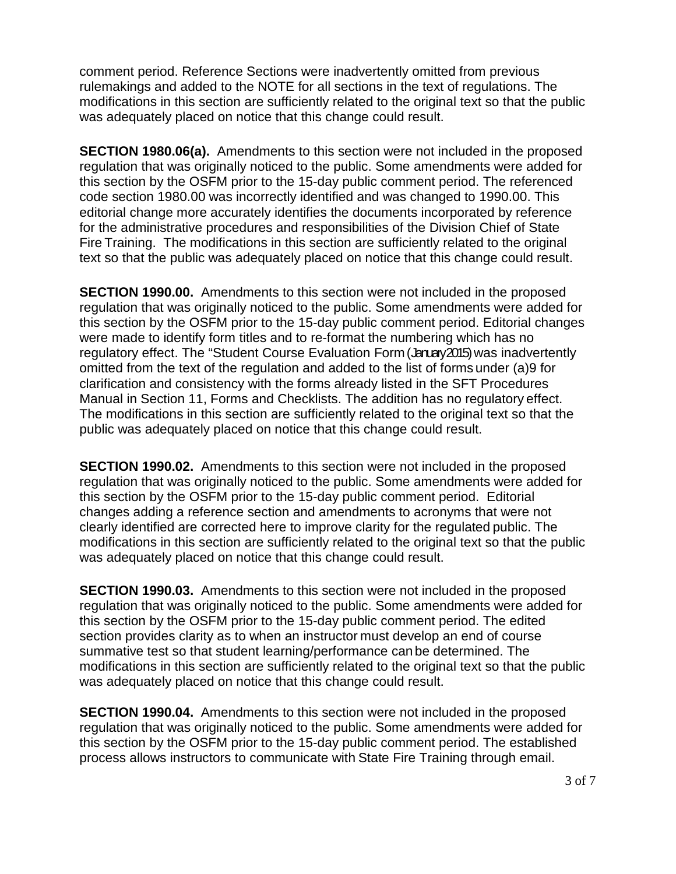comment period. Reference Sections were inadvertently omitted from previous rulemakings and added to the NOTE for all sections in the text of regulations. The modifications in this section are sufficiently related to the original text so that the public was adequately placed on notice that this change could result.

**SECTION 1980.06(a).** Amendments to this section were not included in the proposed regulation that was originally noticed to the public. Some amendments were added for this section by the OSFM prior to the 15-day public comment period. The referenced code section 1980.00 was incorrectly identified and was changed to 1990.00. This editorial change more accurately identifies the documents incorporated by reference for the administrative procedures and responsibilities of the Division Chief of State Fire Training. The modifications in this section are sufficiently related to the original text so that the public was adequately placed on notice that this change could result.

**SECTION 1990.00.** Amendments to this section were not included in the proposed regulation that was originally noticed to the public. Some amendments were added for this section by the OSFM prior to the 15-day public comment period. Editorial changes were made to identify form titles and to re-format the numbering which has no regulatory effect. The "Student Course Evaluation Form (January 2015) was inadvertently omitted from the text of the regulation and added to the list of forms under (a)9 for clarification and consistency with the forms already listed in the SFT Procedures Manual in Section 11, Forms and Checklists. The addition has no regulatory effect. The modifications in this section are sufficiently related to the original text so that the public was adequately placed on notice that this change could result.

**SECTION 1990.02.** Amendments to this section were not included in the proposed regulation that was originally noticed to the public. Some amendments were added for this section by the OSFM prior to the 15-day public comment period. Editorial changes adding a reference section and amendments to acronyms that were not clearly identified are corrected here to improve clarity for the regulated public. The modifications in this section are sufficiently related to the original text so that the public was adequately placed on notice that this change could result.

**SECTION 1990.03.** Amendments to this section were not included in the proposed regulation that was originally noticed to the public. Some amendments were added for this section by the OSFM prior to the 15-day public comment period. The edited section provides clarity as to when an instructor must develop an end of course summative test so that student learning/performance can be determined. The modifications in this section are sufficiently related to the original text so that the public was adequately placed on notice that this change could result.

**SECTION 1990.04.** Amendments to this section were not included in the proposed regulation that was originally noticed to the public. Some amendments were added for this section by the OSFM prior to the 15-day public comment period. The established process allows instructors to communicate with State Fire Training through email.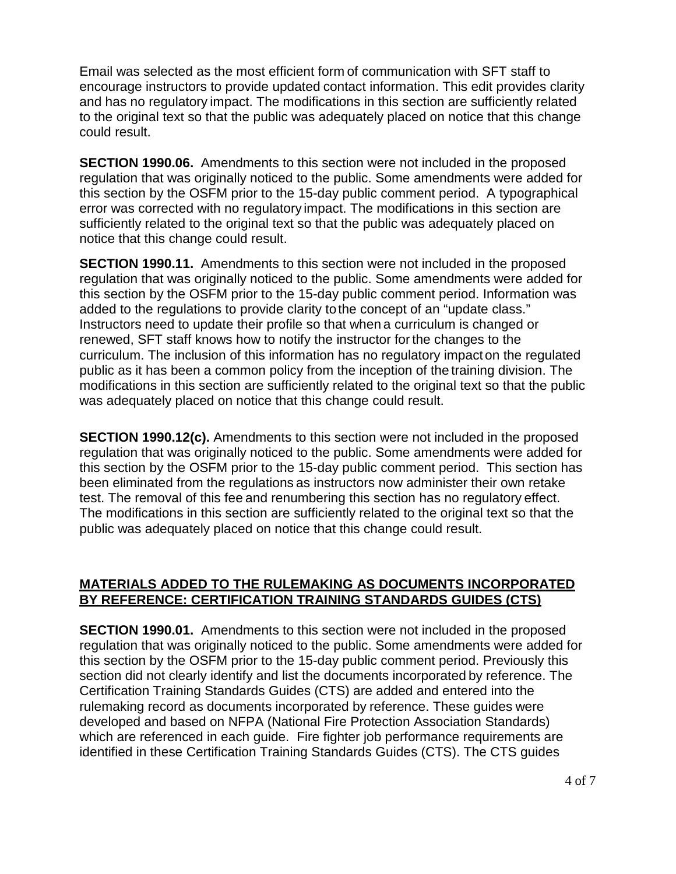Email was selected as the most efficient form of communication with SFT staff to encourage instructors to provide updated contact information. This edit provides clarity and has no regulatory impact. The modifications in this section are sufficiently related to the original text so that the public was adequately placed on notice that this change could result.

**SECTION 1990.06.** Amendments to this section were not included in the proposed regulation that was originally noticed to the public. Some amendments were added for this section by the OSFM prior to the 15-day public comment period. A typographical error was corrected with no regulatory impact. The modifications in this section are sufficiently related to the original text so that the public was adequately placed on notice that this change could result.

**SECTION 1990.11.** Amendments to this section were not included in the proposed regulation that was originally noticed to the public. Some amendments were added for this section by the OSFM prior to the 15-day public comment period. Information was added to the regulations to provide clarity tothe concept of an "update class." Instructors need to update their profile so that when a curriculum is changed or renewed, SFT staff knows how to notify the instructor forthe changes to the curriculum. The inclusion of this information has no regulatory impact on the regulated public as it has been a common policy from the inception of the training division. The modifications in this section are sufficiently related to the original text so that the public was adequately placed on notice that this change could result.

**SECTION 1990.12(c).** Amendments to this section were not included in the proposed regulation that was originally noticed to the public. Some amendments were added for this section by the OSFM prior to the 15-day public comment period. This section has been eliminated from the regulations as instructors now administer their own retake test. The removal of this fee and renumbering this section has no regulatory effect. The modifications in this section are sufficiently related to the original text so that the public was adequately placed on notice that this change could result.

#### **MATERIALS ADDED TO THE RULEMAKING AS DOCUMENTS INCORPORATED BY REFERENCE: CERTIFICATION TRAINING STANDARDS GUIDES (CTS)**

**SECTION 1990.01.** Amendments to this section were not included in the proposed regulation that was originally noticed to the public. Some amendments were added for this section by the OSFM prior to the 15-day public comment period. Previously this section did not clearly identify and list the documents incorporated by reference. The Certification Training Standards Guides (CTS) are added and entered into the rulemaking record as documents incorporated by reference. These guides were developed and based on NFPA (National Fire Protection Association Standards) which are referenced in each guide. Fire fighter job performance requirements are identified in these Certification Training Standards Guides (CTS). The CTS guides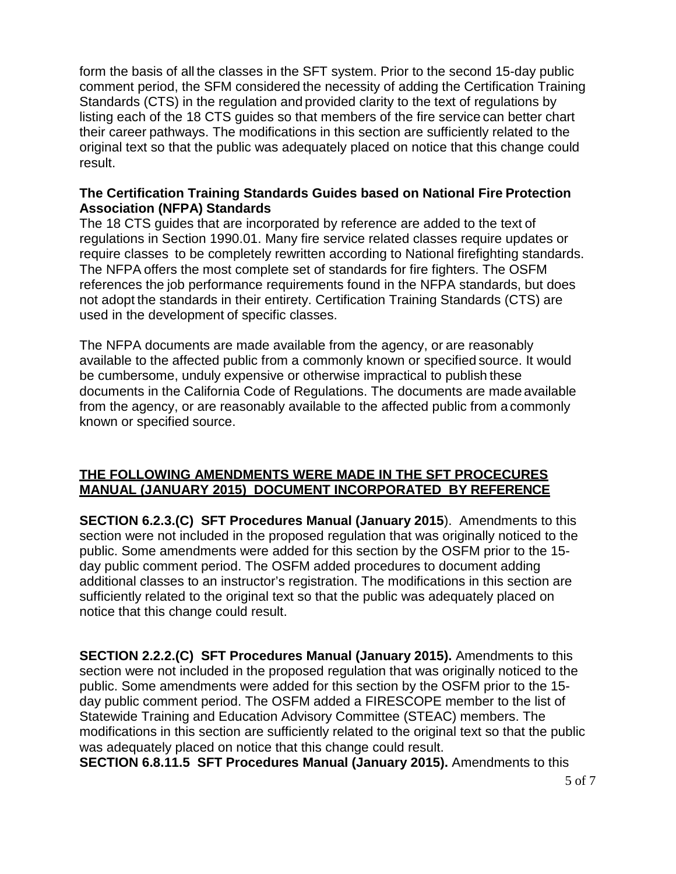form the basis of all the classes in the SFT system. Prior to the second 15-day public comment period, the SFM considered the necessity of adding the Certification Training Standards (CTS) in the regulation and provided clarity to the text of regulations by listing each of the 18 CTS guides so that members of the fire service can better chart their career pathways. The modifications in this section are sufficiently related to the original text so that the public was adequately placed on notice that this change could result.

#### **The Certification Training Standards Guides based on National Fire Protection Association (NFPA) Standards**

The 18 CTS guides that are incorporated by reference are added to the text of regulations in Section 1990.01. Many fire service related classes require updates or require classes to be completely rewritten according to National firefighting standards. The NFPA offers the most complete set of standards for fire fighters. The OSFM references the job performance requirements found in the NFPA standards, but does not adopt the standards in their entirety. Certification Training Standards (CTS) are used in the development of specific classes.

The NFPA documents are made available from the agency, or are reasonably available to the affected public from a commonly known or specified source. It would be cumbersome, unduly expensive or otherwise impractical to publish these documents in the California Code of Regulations. The documents are made available from the agency, or are reasonably available to the affected public from a commonly known or specified source.

### **THE FOLLOWING AMENDMENTS WERE MADE IN THE SFT PROCECURES MANUAL (JANUARY 2015) DOCUMENT INCORPORATED BY REFERENCE**

**SECTION 6.2.3.(C) SFT Procedures Manual (January 2015**). Amendments to this section were not included in the proposed regulation that was originally noticed to the public. Some amendments were added for this section by the OSFM prior to the 15 day public comment period. The OSFM added procedures to document adding additional classes to an instructor's registration. The modifications in this section are sufficiently related to the original text so that the public was adequately placed on notice that this change could result.

**SECTION 2.2.2.(C) SFT Procedures Manual (January 2015).** Amendments to this section were not included in the proposed regulation that was originally noticed to the public. Some amendments were added for this section by the OSFM prior to the 15 day public comment period. The OSFM added a FIRESCOPE member to the list of Statewide Training and Education Advisory Committee (STEAC) members. The modifications in this section are sufficiently related to the original text so that the public was adequately placed on notice that this change could result.

**SECTION 6.8.11.5 SFT Procedures Manual (January 2015).** Amendments to this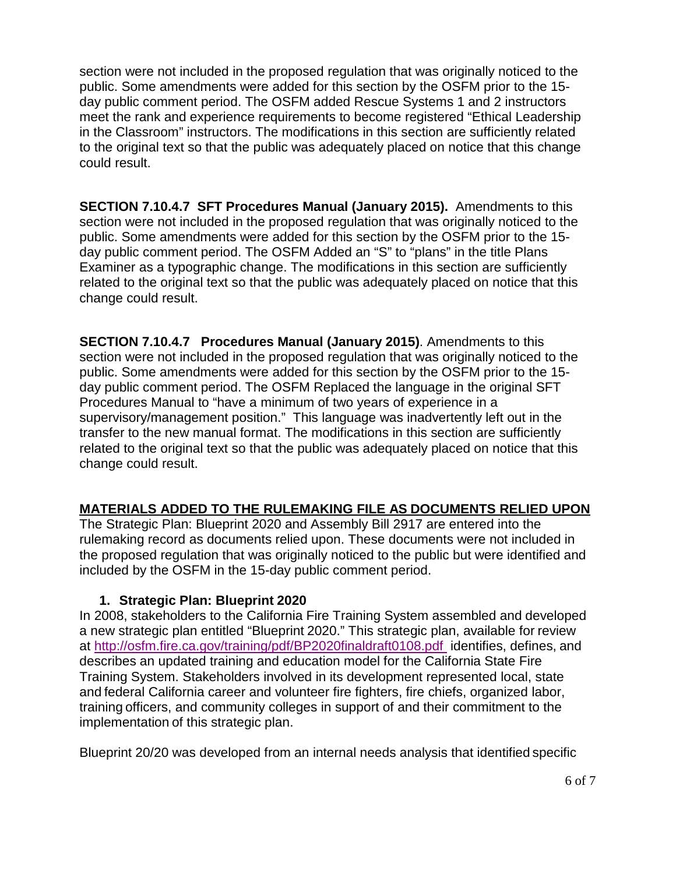section were not included in the proposed regulation that was originally noticed to the public. Some amendments were added for this section by the OSFM prior to the 15 day public comment period. The OSFM added Rescue Systems 1 and 2 instructors meet the rank and experience requirements to become registered "Ethical Leadership in the Classroom" instructors. The modifications in this section are sufficiently related to the original text so that the public was adequately placed on notice that this change could result.

**SECTION 7.10.4.7 SFT Procedures Manual (January 2015).** Amendments to this section were not included in the proposed regulation that was originally noticed to the public. Some amendments were added for this section by the OSFM prior to the 15 day public comment period. The OSFM Added an "S" to "plans" in the title Plans Examiner as a typographic change. The modifications in this section are sufficiently related to the original text so that the public was adequately placed on notice that this change could result.

**SECTION 7.10.4.7 Procedures Manual (January 2015)**. Amendments to this section were not included in the proposed regulation that was originally noticed to the public. Some amendments were added for this section by the OSFM prior to the 15 day public comment period. The OSFM Replaced the language in the original SFT Procedures Manual to "have a minimum of two years of experience in a supervisory/management position." This language was inadvertently left out in the transfer to the new manual format. The modifications in this section are sufficiently related to the original text so that the public was adequately placed on notice that this change could result.

### **MATERIALS ADDED TO THE RULEMAKING FILE AS DOCUMENTS RELIED UPON**

The Strategic Plan: Blueprint 2020 and Assembly Bill 2917 are entered into the rulemaking record as documents relied upon. These documents were not included in the proposed regulation that was originally noticed to the public but were identified and included by the OSFM in the 15-day public comment period.

#### **1. Strategic Plan: Blueprint 2020**

In 2008, stakeholders to the California Fire Training System assembled and developed a new strategic plan entitled "Blueprint 2020." This strategic plan, available for review at<http://osfm.fire.ca.gov/training/pdf/BP2020finaldraft0108.pdf>identifies, defines, and describes an updated training and education model for the California State Fire Training System. Stakeholders involved in its development represented local, state and federal California career and volunteer fire fighters, fire chiefs, organized labor, training officers, and community colleges in support of and their commitment to the implementation of this strategic plan.

Blueprint 20/20 was developed from an internal needs analysis that identified specific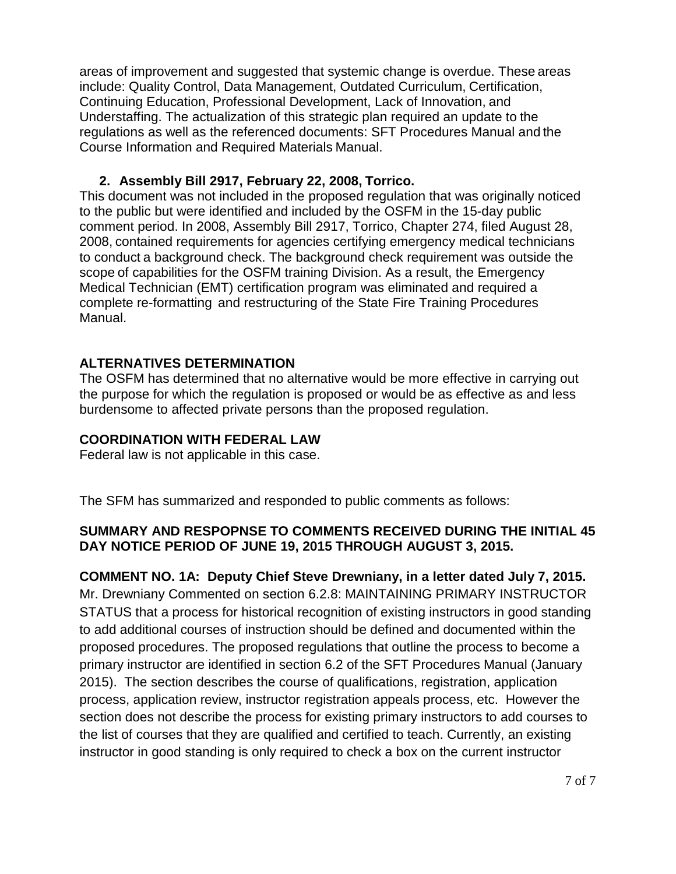areas of improvement and suggested that systemic change is overdue. These areas include: Quality Control, Data Management, Outdated Curriculum, Certification, Continuing Education, Professional Development, Lack of Innovation, and Understaffing. The actualization of this strategic plan required an update to the regulations as well as the referenced documents: SFT Procedures Manual and the Course Information and Required Materials Manual.

### **2. Assembly Bill 2917, February 22, 2008, Torrico.**

This document was not included in the proposed regulation that was originally noticed to the public but were identified and included by the OSFM in the 15-day public comment period. In 2008, Assembly Bill 2917, Torrico, Chapter 274, filed August 28, 2008, contained requirements for agencies certifying emergency medical technicians to conduct a background check. The background check requirement was outside the scope of capabilities for the OSFM training Division. As a result, the Emergency Medical Technician (EMT) certification program was eliminated and required a complete re-formatting and restructuring of the State Fire Training Procedures Manual.

### **ALTERNATIVES DETERMINATION**

The OSFM has determined that no alternative would be more effective in carrying out the purpose for which the regulation is proposed or would be as effective as and less burdensome to affected private persons than the proposed regulation.

### **COORDINATION WITH FEDERAL LAW**

Federal law is not applicable in this case.

The SFM has summarized and responded to public comments as follows:

### **SUMMARY AND RESPOPNSE TO COMMENTS RECEIVED DURING THE INITIAL 45 DAY NOTICE PERIOD OF JUNE 19, 2015 THROUGH AUGUST 3, 2015.**

# **COMMENT NO. 1A: Deputy Chief Steve Drewniany, in a letter dated July 7, 2015.**

Mr. Drewniany Commented on section 6.2.8: MAINTAINING PRIMARY INSTRUCTOR STATUS that a process for historical recognition of existing instructors in good standing to add additional courses of instruction should be defined and documented within the proposed procedures. The proposed regulations that outline the process to become a primary instructor are identified in section 6.2 of the SFT Procedures Manual (January 2015). The section describes the course of qualifications, registration, application process, application review, instructor registration appeals process, etc. However the section does not describe the process for existing primary instructors to add courses to the list of courses that they are qualified and certified to teach. Currently, an existing instructor in good standing is only required to check a box on the current instructor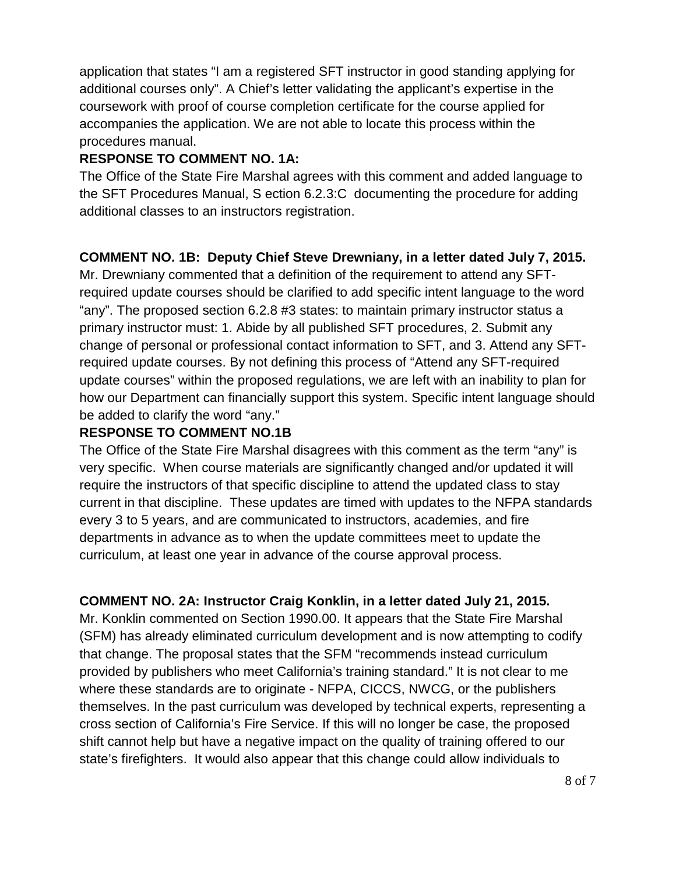application that states "I am a registered SFT instructor in good standing applying for additional courses only". A Chief's letter validating the applicant's expertise in the coursework with proof of course completion certificate for the course applied for accompanies the application. We are not able to locate this process within the procedures manual.

# **RESPONSE TO COMMENT NO. 1A:**

The Office of the State Fire Marshal agrees with this comment and added language to the SFT Procedures Manual, S ection 6.2.3:C documenting the procedure for adding additional classes to an instructors registration.

# **COMMENT NO. 1B: Deputy Chief Steve Drewniany, in a letter dated July 7, 2015.**

Mr. Drewniany commented that a definition of the requirement to attend any SFTrequired update courses should be clarified to add specific intent language to the word "any". The proposed section 6.2.8 #3 states: to maintain primary instructor status a primary instructor must: 1. Abide by all published SFT procedures, 2. Submit any change of personal or professional contact information to SFT, and 3. Attend any SFTrequired update courses. By not defining this process of "Attend any SFT-required update courses" within the proposed regulations, we are left with an inability to plan for how our Department can financially support this system. Specific intent language should be added to clarify the word "any."

# **RESPONSE TO COMMENT NO.1B**

The Office of the State Fire Marshal disagrees with this comment as the term "any" is very specific. When course materials are significantly changed and/or updated it will require the instructors of that specific discipline to attend the updated class to stay current in that discipline. These updates are timed with updates to the NFPA standards every 3 to 5 years, and are communicated to instructors, academies, and fire departments in advance as to when the update committees meet to update the curriculum, at least one year in advance of the course approval process.

# **COMMENT NO. 2A: Instructor Craig Konklin, in a letter dated July 21, 2015.**

Mr. Konklin commented on Section 1990.00. It appears that the State Fire Marshal (SFM) has already eliminated curriculum development and is now attempting to codify that change. The proposal states that the SFM "recommends instead curriculum provided by publishers who meet California's training standard." It is not clear to me where these standards are to originate - NFPA, CICCS, NWCG, or the publishers themselves. In the past curriculum was developed by technical experts, representing a cross section of California's Fire Service. If this will no longer be case, the proposed shift cannot help but have a negative impact on the quality of training offered to our state's firefighters. It would also appear that this change could allow individuals to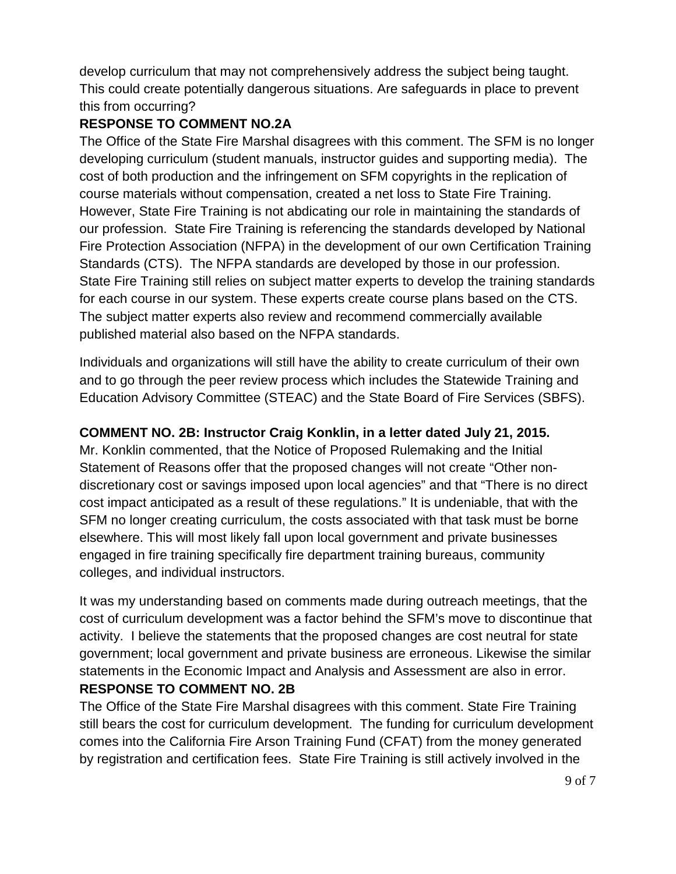develop curriculum that may not comprehensively address the subject being taught. This could create potentially dangerous situations. Are safeguards in place to prevent this from occurring?

# **RESPONSE TO COMMENT NO.2A**

The Office of the State Fire Marshal disagrees with this comment. The SFM is no longer developing curriculum (student manuals, instructor guides and supporting media). The cost of both production and the infringement on SFM copyrights in the replication of course materials without compensation, created a net loss to State Fire Training. However, State Fire Training is not abdicating our role in maintaining the standards of our profession. State Fire Training is referencing the standards developed by National Fire Protection Association (NFPA) in the development of our own Certification Training Standards (CTS). The NFPA standards are developed by those in our profession. State Fire Training still relies on subject matter experts to develop the training standards for each course in our system. These experts create course plans based on the CTS. The subject matter experts also review and recommend commercially available published material also based on the NFPA standards.

Individuals and organizations will still have the ability to create curriculum of their own and to go through the peer review process which includes the Statewide Training and Education Advisory Committee (STEAC) and the State Board of Fire Services (SBFS).

# **COMMENT NO. 2B: Instructor Craig Konklin, in a letter dated July 21, 2015.**

Mr. Konklin commented, that the Notice of Proposed Rulemaking and the Initial Statement of Reasons offer that the proposed changes will not create "Other nondiscretionary cost or savings imposed upon local agencies" and that "There is no direct cost impact anticipated as a result of these regulations." It is undeniable, that with the SFM no longer creating curriculum, the costs associated with that task must be borne elsewhere. This will most likely fall upon local government and private businesses engaged in fire training specifically fire department training bureaus, community colleges, and individual instructors.

It was my understanding based on comments made during outreach meetings, that the cost of curriculum development was a factor behind the SFM's move to discontinue that activity. I believe the statements that the proposed changes are cost neutral for state government; local government and private business are erroneous. Likewise the similar statements in the Economic Impact and Analysis and Assessment are also in error. **RESPONSE TO COMMENT NO. 2B**

The Office of the State Fire Marshal disagrees with this comment. State Fire Training still bears the cost for curriculum development. The funding for curriculum development comes into the California Fire Arson Training Fund (CFAT) from the money generated by registration and certification fees. State Fire Training is still actively involved in the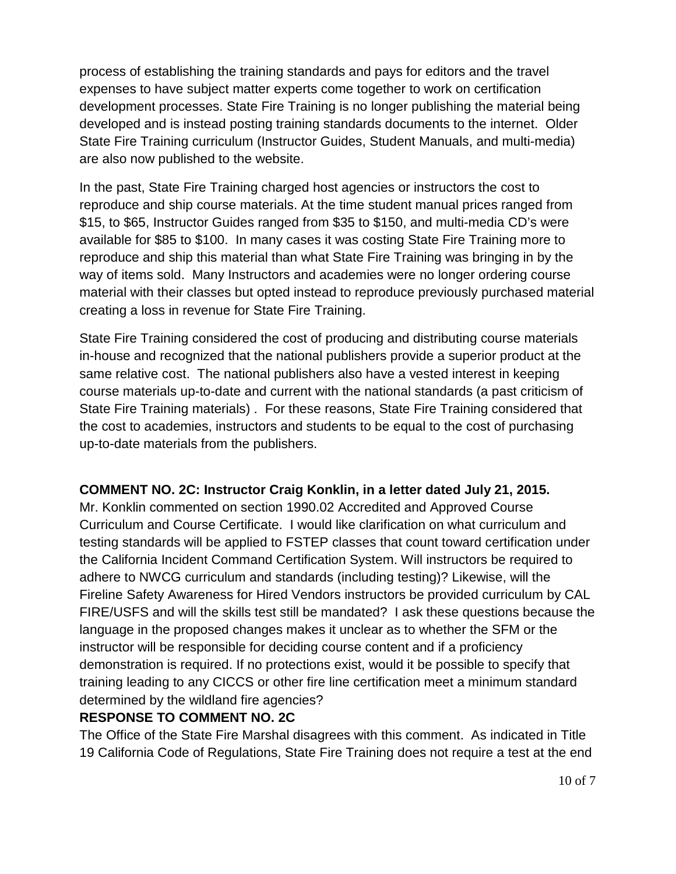process of establishing the training standards and pays for editors and the travel expenses to have subject matter experts come together to work on certification development processes. State Fire Training is no longer publishing the material being developed and is instead posting training standards documents to the internet. Older State Fire Training curriculum (Instructor Guides, Student Manuals, and multi-media) are also now published to the website.

In the past, State Fire Training charged host agencies or instructors the cost to reproduce and ship course materials. At the time student manual prices ranged from \$15, to \$65, Instructor Guides ranged from \$35 to \$150, and multi-media CD's were available for \$85 to \$100. In many cases it was costing State Fire Training more to reproduce and ship this material than what State Fire Training was bringing in by the way of items sold. Many Instructors and academies were no longer ordering course material with their classes but opted instead to reproduce previously purchased material creating a loss in revenue for State Fire Training.

State Fire Training considered the cost of producing and distributing course materials in-house and recognized that the national publishers provide a superior product at the same relative cost. The national publishers also have a vested interest in keeping course materials up-to-date and current with the national standards (a past criticism of State Fire Training materials) . For these reasons, State Fire Training considered that the cost to academies, instructors and students to be equal to the cost of purchasing up-to-date materials from the publishers.

### **COMMENT NO. 2C: Instructor Craig Konklin, in a letter dated July 21, 2015.**

Mr. Konklin commented on section 1990.02 Accredited and Approved Course Curriculum and Course Certificate. I would like clarification on what curriculum and testing standards will be applied to FSTEP classes that count toward certification under the California Incident Command Certification System. Will instructors be required to adhere to NWCG curriculum and standards (including testing)? Likewise, will the Fireline Safety Awareness for Hired Vendors instructors be provided curriculum by CAL FIRE/USFS and will the skills test still be mandated? I ask these questions because the language in the proposed changes makes it unclear as to whether the SFM or the instructor will be responsible for deciding course content and if a proficiency demonstration is required. If no protections exist, would it be possible to specify that training leading to any CICCS or other fire line certification meet a minimum standard determined by the wildland fire agencies?

### **RESPONSE TO COMMENT NO. 2C**

The Office of the State Fire Marshal disagrees with this comment. As indicated in Title 19 California Code of Regulations, State Fire Training does not require a test at the end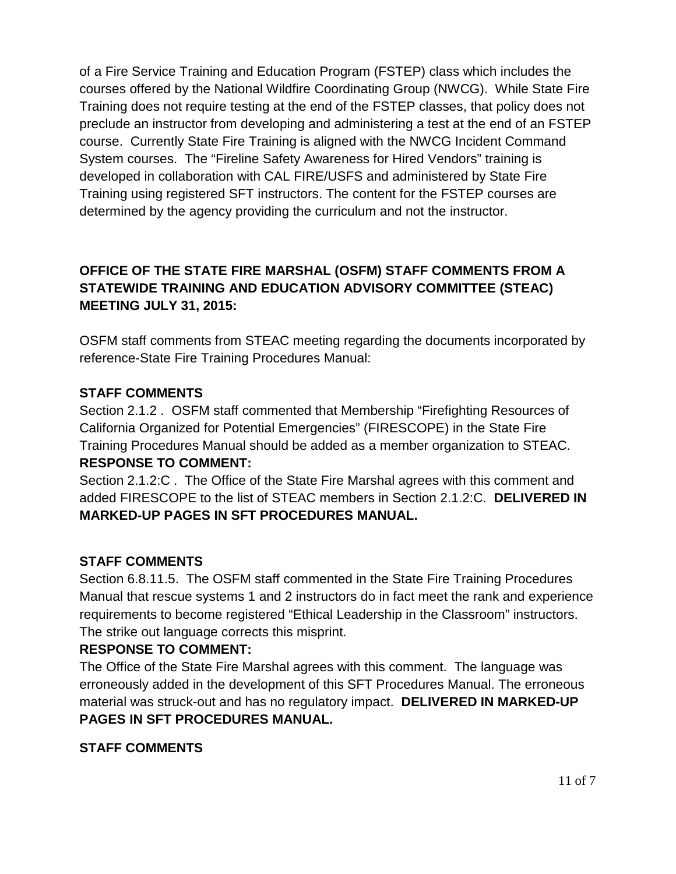of a Fire Service Training and Education Program (FSTEP) class which includes the courses offered by the National Wildfire Coordinating Group (NWCG). While State Fire Training does not require testing at the end of the FSTEP classes, that policy does not preclude an instructor from developing and administering a test at the end of an FSTEP course. Currently State Fire Training is aligned with the NWCG Incident Command System courses. The "Fireline Safety Awareness for Hired Vendors" training is developed in collaboration with CAL FIRE/USFS and administered by State Fire Training using registered SFT instructors. The content for the FSTEP courses are determined by the agency providing the curriculum and not the instructor.

# **OFFICE OF THE STATE FIRE MARSHAL (OSFM) STAFF COMMENTS FROM A STATEWIDE TRAINING AND EDUCATION ADVISORY COMMITTEE (STEAC) MEETING JULY 31, 2015:**

OSFM staff comments from STEAC meeting regarding the documents incorporated by reference-State Fire Training Procedures Manual:

### **STAFF COMMENTS**

Section 2.1.2 . OSFM staff commented that Membership "Firefighting Resources of California Organized for Potential Emergencies" (FIRESCOPE) in the State Fire Training Procedures Manual should be added as a member organization to STEAC. **RESPONSE TO COMMENT:**

Section 2.1.2:C . The Office of the State Fire Marshal agrees with this comment and added FIRESCOPE to the list of STEAC members in Section 2.1.2:C. **DELIVERED IN MARKED-UP PAGES IN SFT PROCEDURES MANUAL.** 

### **STAFF COMMENTS**

Section 6.8.11.5. The OSFM staff commented in the State Fire Training Procedures Manual that rescue systems 1 and 2 instructors do in fact meet the rank and experience requirements to become registered "Ethical Leadership in the Classroom" instructors. The strike out language corrects this misprint.

### **RESPONSE TO COMMENT:**

The Office of the State Fire Marshal agrees with this comment. The language was erroneously added in the development of this SFT Procedures Manual. The erroneous material was struck-out and has no regulatory impact. **DELIVERED IN MARKED-UP PAGES IN SFT PROCEDURES MANUAL.**

### **STAFF COMMENTS**